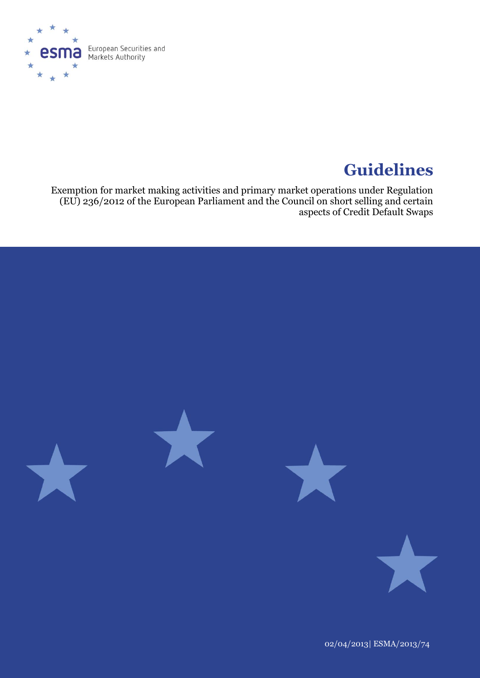

# **Guidelines**

Exemption for market making activities and primary market operations under Regulation (EU) 236/2012 of the European Parliament and the Council on short selling and certain aspects of Credit Default Swaps



02/04/2013| ESMA/2013/74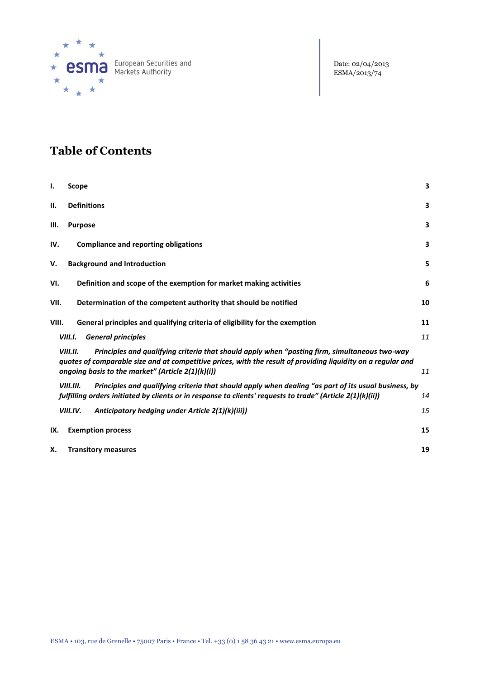

# **Table of Contents**

| ı.    | Scope                                                                                                                                                                                                                                                                          | 3  |
|-------|--------------------------------------------------------------------------------------------------------------------------------------------------------------------------------------------------------------------------------------------------------------------------------|----|
| П.    | <b>Definitions</b>                                                                                                                                                                                                                                                             | 3  |
| Ш.    | <b>Purpose</b>                                                                                                                                                                                                                                                                 | 3  |
| IV.   | <b>Compliance and reporting obligations</b>                                                                                                                                                                                                                                    | 3  |
| v.    | <b>Background and Introduction</b>                                                                                                                                                                                                                                             | 5  |
| VI.   | Definition and scope of the exemption for market making activities                                                                                                                                                                                                             | 6  |
| VII.  | Determination of the competent authority that should be notified                                                                                                                                                                                                               | 10 |
| VIII. | General principles and qualifying criteria of eligibility for the exemption                                                                                                                                                                                                    | 11 |
|       | <b>General principles</b><br>VIII.I.                                                                                                                                                                                                                                           | 11 |
|       | Principles and qualifying criteria that should apply when "posting firm, simultaneous two-way<br>VIII.II.<br>quotes of comparable size and at competitive prices, with the result of providing liquidity on a regular and<br>ongoing basis to the market" (Article 2(1)(k)(i)) | 11 |
|       | VIII.III.<br>Principles and qualifying criteria that should apply when dealing "as part of its usual business, by<br>fulfilling orders initiated by clients or in response to clients' requests to trade" (Article 2(1)(k)(ii))                                                | 14 |
|       | VIII.IV.<br>Anticipatory hedging under Article 2(1)(k)(iii))                                                                                                                                                                                                                   | 15 |
| IX.   | <b>Exemption process</b>                                                                                                                                                                                                                                                       | 15 |
| Χ.    | <b>Transitory measures</b>                                                                                                                                                                                                                                                     | 19 |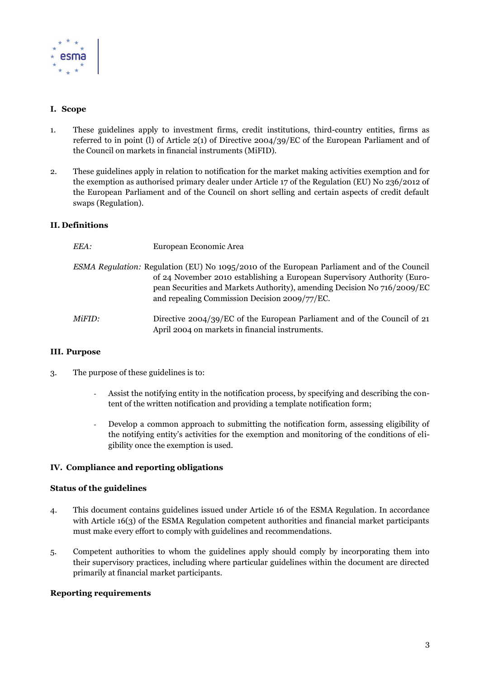

# **I. Scope**

- 1. These guidelines apply to investment firms, credit institutions, third-country entities, firms as referred to in point (l) of Article 2(1) of Directive 2004/39/EC of the European Parliament and of the Council on markets in financial instruments (MiFID).
- 2. These guidelines apply in relation to notification for the market making activities exemption and for the exemption as authorised primary dealer under Article 17 of the Regulation (EU) No 236/2012 of the European Parliament and of the Council on short selling and certain aspects of credit default swaps (Regulation).

# **II. Definitions**

| EEA:   | European Economic Area                                                                                                                                                                                                                                                                               |
|--------|------------------------------------------------------------------------------------------------------------------------------------------------------------------------------------------------------------------------------------------------------------------------------------------------------|
|        | ESMA Regulation: Regulation (EU) No 1095/2010 of the European Parliament and of the Council<br>of 24 November 2010 establishing a European Supervisory Authority (Euro-<br>pean Securities and Markets Authority), amending Decision No 716/2009/EC<br>and repealing Commission Decision 2009/77/EC. |
| MiFID: | Directive 2004/39/EC of the European Parliament and of the Council of 21<br>April 2004 on markets in financial instruments.                                                                                                                                                                          |

#### **III. Purpose**

- 3. The purpose of these guidelines is to:
	- Assist the notifying entity in the notification process, by specifying and describing the content of the written notification and providing a template notification form;
	- Develop a common approach to submitting the notification form, assessing eligibility of the notifying entity's activities for the exemption and monitoring of the conditions of eligibility once the exemption is used.

#### **IV. Compliance and reporting obligations**

#### **Status of the guidelines**

- 4. This document contains guidelines issued under Article 16 of the ESMA Regulation. In accordance with Article 16(3) of the ESMA Regulation competent authorities and financial market participants must make every effort to comply with guidelines and recommendations.
- 5. Competent authorities to whom the guidelines apply should comply by incorporating them into their supervisory practices, including where particular guidelines within the document are directed primarily at financial market participants.

#### **Reporting requirements**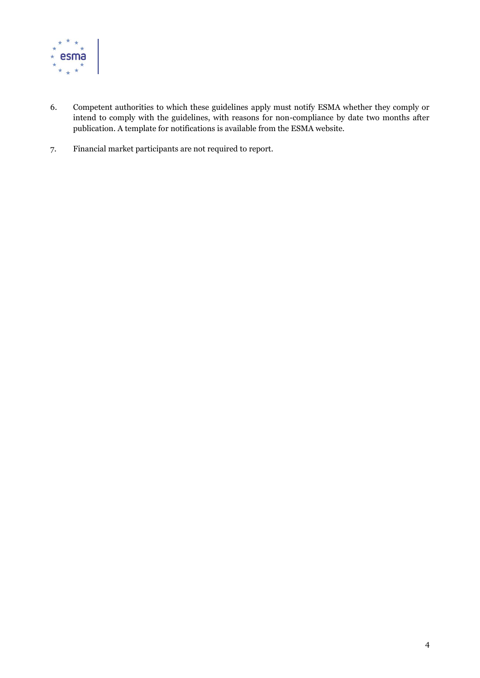

- 6. Competent authorities to which these guidelines apply must notify ESMA whether they comply or intend to comply with the guidelines, with reasons for non-compliance by date two months after publication. A template for notifications is available from the ESMA website.
- 7. Financial market participants are not required to report.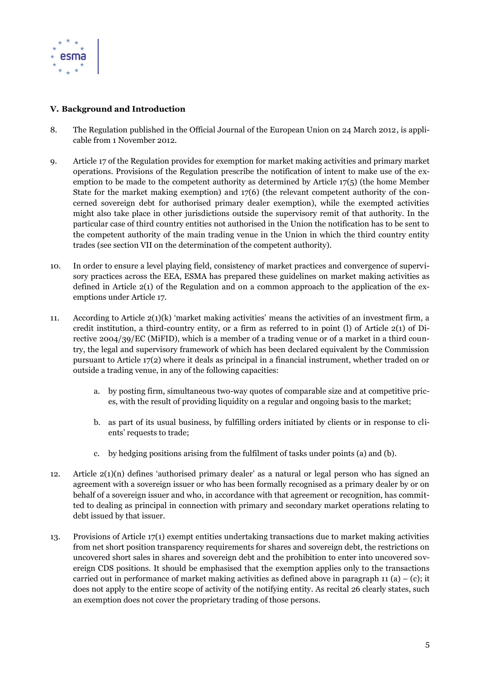

# **V. Background and Introduction**

- 8. The Regulation published in the Official Journal of the European Union on 24 March 2012, is applicable from 1 November 2012.
- 9. Article 17 of the Regulation provides for exemption for market making activities and primary market operations. Provisions of the Regulation prescribe the notification of intent to make use of the exemption to be made to the competent authority as determined by Article 17(5) (the home Member State for the market making exemption) and  $17(6)$  (the relevant competent authority of the concerned sovereign debt for authorised primary dealer exemption), while the exempted activities might also take place in other jurisdictions outside the supervisory remit of that authority. In the particular case of third country entities not authorised in the Union the notification has to be sent to the competent authority of the main trading venue in the Union in which the third country entity trades (see section VII on the determination of the competent authority).
- 10. In order to ensure a level playing field, consistency of market practices and convergence of supervisory practices across the EEA, ESMA has prepared these guidelines on market making activities as defined in Article 2(1) of the Regulation and on a common approach to the application of the exemptions under Article 17.
- <span id="page-4-0"></span>11. According to Article  $2(1)(k)$  'market making activities' means the activities of an investment firm, a credit institution, a third-country entity, or a firm as referred to in point (l) of Article 2(1) of Directive 2004/39/EC (MiFID), which is a member of a trading venue or of a market in a third country, the legal and supervisory framework of which has been declared equivalent by the Commission pursuant to Article 17(2) where it deals as principal in a financial instrument, whether traded on or outside a trading venue, in any of the following capacities:
	- a. by posting firm, simultaneous two-way quotes of comparable size and at competitive prices, with the result of providing liquidity on a regular and ongoing basis to the market;
	- b. as part of its usual business, by fulfilling orders initiated by clients or in response to clients' requests to trade;
	- c. by hedging positions arising from the fulfilment of tasks under points (a) and (b).
- 12. Article 2(1)(n) defines 'authorised primary dealer' as a natural or legal person who has signed an agreement with a sovereign issuer or who has been formally recognised as a primary dealer by or on behalf of a sovereign issuer and who, in accordance with that agreement or recognition, has committed to dealing as principal in connection with primary and secondary market operations relating to debt issued by that issuer.
- 13. Provisions of Article 17(1) exempt entities undertaking transactions due to market making activities from net short position transparency requirements for shares and sovereign debt, the restrictions on uncovered short sales in shares and sovereign debt and the prohibition to enter into uncovered sovereign CDS positions. It should be emphasised that the exemption applies only to the transactions carried out in performance of market making activities as defined above in paragraph [11](#page-4-0) (a) – (c); it does not apply to the entire scope of activity of the notifying entity. As recital 26 clearly states, such an exemption does not cover the proprietary trading of those persons.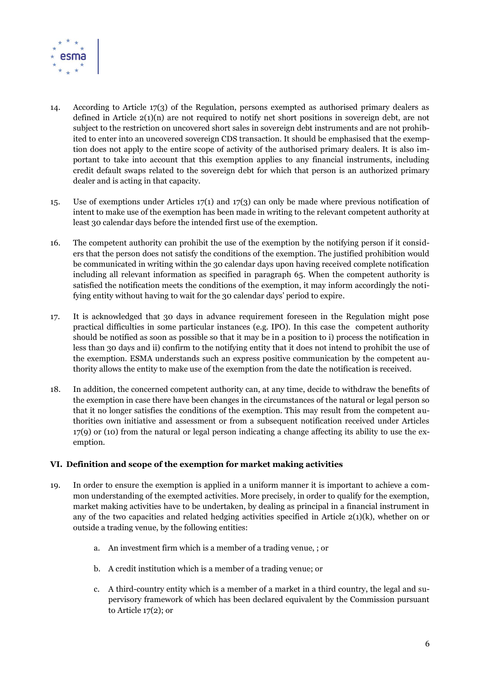

- 14. According to Article 17(3) of the Regulation, persons exempted as authorised primary dealers as defined in Article 2(1)(n) are not required to notify net short positions in sovereign debt, are not subject to the restriction on uncovered short sales in sovereign debt instruments and are not prohibited to enter into an uncovered sovereign CDS transaction. It should be emphasised that the exemption does not apply to the entire scope of activity of the authorised primary dealers. It is also important to take into account that this exemption applies to any financial instruments, including credit default swaps related to the sovereign debt for which that person is an authorized primary dealer and is acting in that capacity.
- 15. Use of exemptions under Articles 17(1) and 17(3) can only be made where previous notification of intent to make use of the exemption has been made in writing to the relevant competent authority at least 30 calendar days before the intended first use of the exemption.
- 16. The competent authority can prohibit the use of the exemption by the notifying person if it considers that the person does not satisfy the conditions of the exemption. The justified prohibition would be communicated in writing within the 30 calendar days upon having received complete notification including all relevant information as specified in paragraph [65.](#page-15-0) When the competent authority is satisfied the notification meets the conditions of the exemption, it may inform accordingly the notifying entity without having to wait for the 30 calendar days' period to expire.
- 17. It is acknowledged that 30 days in advance requirement foreseen in the Regulation might pose practical difficulties in some particular instances (e.g. IPO). In this case the competent authority should be notified as soon as possible so that it may be in a position to i) process the notification in less than 30 days and ii) confirm to the notifying entity that it does not intend to prohibit the use of the exemption. ESMA understands such an express positive communication by the competent authority allows the entity to make use of the exemption from the date the notification is received.
- 18. In addition, the concerned competent authority can, at any time, decide to withdraw the benefits of the exemption in case there have been changes in the circumstances of the natural or legal person so that it no longer satisfies the conditions of the exemption. This may result from the competent authorities own initiative and assessment or from a subsequent notification received under Articles 17(9) or (10) from the natural or legal person indicating a change affecting its ability to use the exemption.

#### **VI. Definition and scope of the exemption for market making activities**

- 19. In order to ensure the exemption is applied in a uniform manner it is important to achieve a common understanding of the exempted activities. More precisely, in order to qualify for the exemption, market making activities have to be undertaken, by dealing as principal in a financial instrument in any of the two capacities and related hedging activities specified in Article  $2(1)(k)$ , whether on or outside a trading venue, by the following entities:
	- a. An investment firm which is a member of a trading venue, ; or
	- b. A credit institution which is a member of a trading venue; or
	- c. A third-country entity which is a member of a market in a third country, the legal and supervisory framework of which has been declared equivalent by the Commission pursuant to Article 17(2); or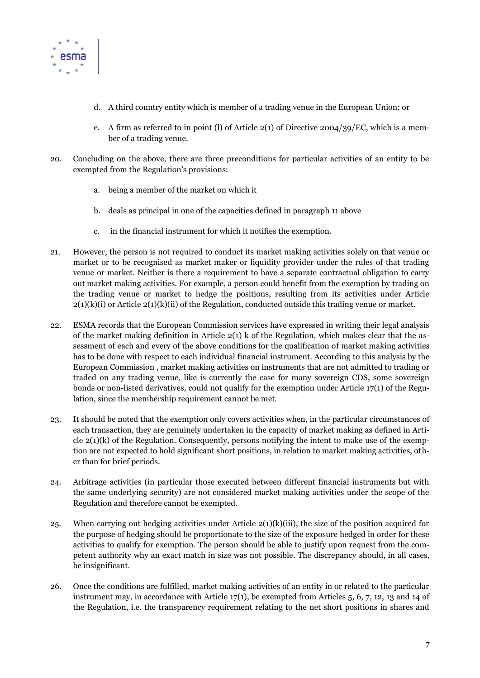

- d. A third country entity which is member of a trading venue in the European Union; or
- e. A firm as referred to in point (l) of Article 2(1) of Directive 2004/39/EC, which is a member of a trading venue.
- 20. Concluding on the above, there are three preconditions for particular activities of an entity to be exempted from the Regulation's provisions:
	- a. being a member of the market on which it
	- b. deals as principal in one of the capacities defined in paragraph 11 above
	- c. in the financial instrument for which it notifies the exemption.
- 21. However, the person is not required to conduct its market making activities solely on that venue or market or to be recognised as market maker or liquidity provider under the rules of that trading venue or market. Neither is there a requirement to have a separate contractual obligation to carry out market making activities. For example, a person could benefit from the exemption by trading on the trading venue or market to hedge the positions, resulting from its activities under Article  $2(1)(k)(i)$  or Article  $2(1)(k)(ii)$  of the Regulation, conducted outside this trading venue or market.
- 22. ESMA records that the European Commission services have expressed in writing their legal analysis of the market making definition in Article  $2(1)$  k of the Regulation, which makes clear that the assessment of each and every of the above conditions for the qualification of market making activities has to be done with respect to each individual financial instrument. According to this analysis by the European Commission , market making activities on instruments that are not admitted to trading or traded on any trading venue, like is currently the case for many sovereign CDS, some sovereign bonds or non-listed derivatives, could not qualify for the exemption under Article  $17(1)$  of the Regulation, since the membership requirement cannot be met.
- 23. It should be noted that the exemption only covers activities when, in the particular circumstances of each transaction, they are genuinely undertaken in the capacity of market making as defined in Article  $2(1)(k)$  of the Regulation. Consequently, persons notifying the intent to make use of the exemption are not expected to hold significant short positions, in relation to market making activities, other than for brief periods.
- 24. Arbitrage activities (in particular those executed between different financial instruments but with the same underlying security) are not considered market making activities under the scope of the Regulation and therefore cannot be exempted.
- 25. When carrying out hedging activities under Article  $2(1)(k)(iii)$ , the size of the position acquired for the purpose of hedging should be proportionate to the size of the exposure hedged in order for these activities to qualify for exemption. The person should be able to justify upon request from the competent authority why an exact match in size was not possible. The discrepancy should, in all cases, be insignificant.
- 26. Once the conditions are fulfilled, market making activities of an entity in or related to the particular instrument may, in accordance with Article 17(1), be exempted from Articles 5, 6, 7, 12, 13 and 14 of the Regulation, i.e. the transparency requirement relating to the net short positions in shares and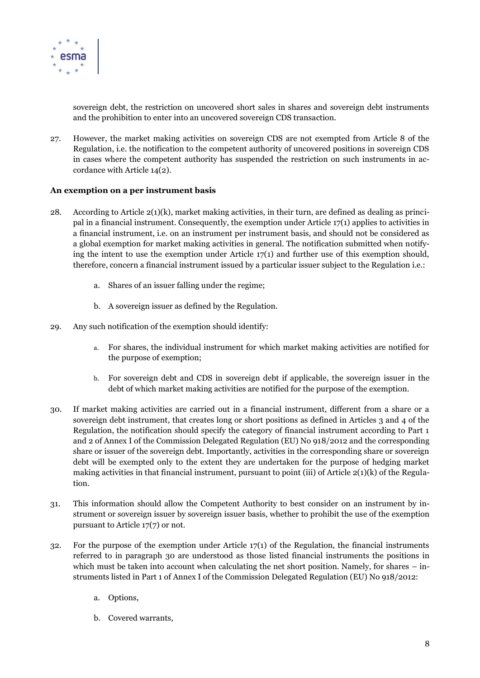

sovereign debt, the restriction on uncovered short sales in shares and sovereign debt instruments and the prohibition to enter into an uncovered sovereign CDS transaction.

27. However, the market making activities on sovereign CDS are not exempted from Article 8 of the Regulation, i.e. the notification to the competent authority of uncovered positions in sovereign CDS in cases where the competent authority has suspended the restriction on such instruments in accordance with Article 14(2).

#### **An exemption on a per instrument basis**

- 28. According to Article  $2(1)(k)$ , market making activities, in their turn, are defined as dealing as principal in a financial instrument. Consequently, the exemption under Article  $17(1)$  applies to activities in a financial instrument, i.e. on an instrument per instrument basis, and should not be considered as a global exemption for market making activities in general. The notification submitted when notifying the intent to use the exemption under Article  $17(1)$  and further use of this exemption should, therefore, concern a financial instrument issued by a particular issuer subject to the Regulation i.e.:
	- a. Shares of an issuer falling under the regime;
	- b. A sovereign issuer as defined by the Regulation.
- 29. Any such notification of the exemption should identify:
	- a. For shares, the individual instrument for which market making activities are notified for the purpose of exemption;
	- b. For sovereign debt and CDS in sovereign debt if applicable, the sovereign issuer in the debt of which market making activities are notified for the purpose of the exemption.
- 30. If market making activities are carried out in a financial instrument, different from a share or a sovereign debt instrument, that creates long or short positions as defined in Articles 3 and 4 of the Regulation, the notification should specify the category of financial instrument according to Part 1 and 2 of Annex I of the Commission Delegated Regulation (EU) No 918/2012 and the corresponding share or issuer of the sovereign debt. Importantly, activities in the corresponding share or sovereign debt will be exempted only to the extent they are undertaken for the purpose of hedging market making activities in that financial instrument, pursuant to point (iii) of Article  $2(1)(k)$  of the Regulation.
- 31. This information should allow the Competent Authority to best consider on an instrument by instrument or sovereign issuer by sovereign issuer basis, whether to prohibit the use of the exemption pursuant to Article 17(7) or not.
- 32. For the purpose of the exemption under Article  $17(1)$  of the Regulation, the financial instruments referred to in paragraph 30 are understood as those listed financial instruments the positions in which must be taken into account when calculating the net short position. Namely, for shares – instruments listed in Part 1 of Annex I of the Commission Delegated Regulation (EU) No 918/2012:
	- a. Options,
	- b. Covered warrants,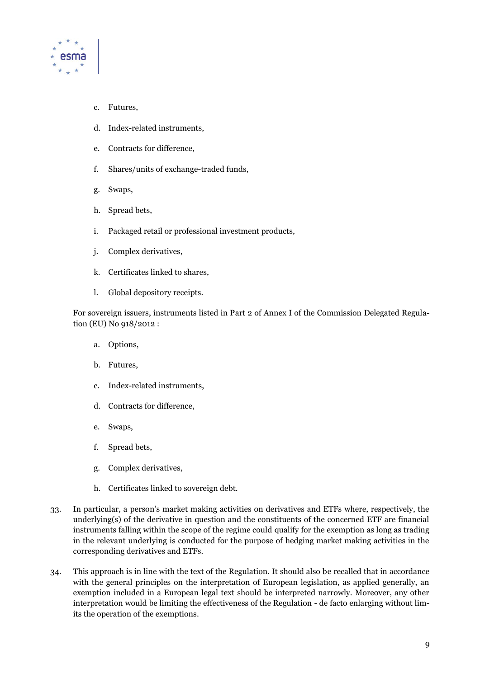

- c. Futures,
- d. Index-related instruments,
- e. Contracts for difference,
- f. Shares/units of exchange-traded funds,
- g. Swaps,
- h. Spread bets,
- i. Packaged retail or professional investment products,
- j. Complex derivatives,
- k. Certificates linked to shares,
- l. Global depository receipts.

For sovereign issuers, instruments listed in Part 2 of Annex I of the Commission Delegated Regulation (EU) No 918/2012 :

- a. Options,
- b. Futures,
- c. Index-related instruments,
- d. Contracts for difference,
- e. Swaps,
- f. Spread bets,
- g. Complex derivatives,
- h. Certificates linked to sovereign debt.
- 33. In particular, a person's market making activities on derivatives and ETFs where, respectively, the underlying(s) of the derivative in question and the constituents of the concerned ETF are financial instruments falling within the scope of the regime could qualify for the exemption as long as trading in the relevant underlying is conducted for the purpose of hedging market making activities in the corresponding derivatives and ETFs.
- 34. This approach is in line with the text of the Regulation. It should also be recalled that in accordance with the general principles on the interpretation of European legislation, as applied generally, an exemption included in a European legal text should be interpreted narrowly. Moreover, any other interpretation would be limiting the effectiveness of the Regulation - de facto enlarging without limits the operation of the exemptions.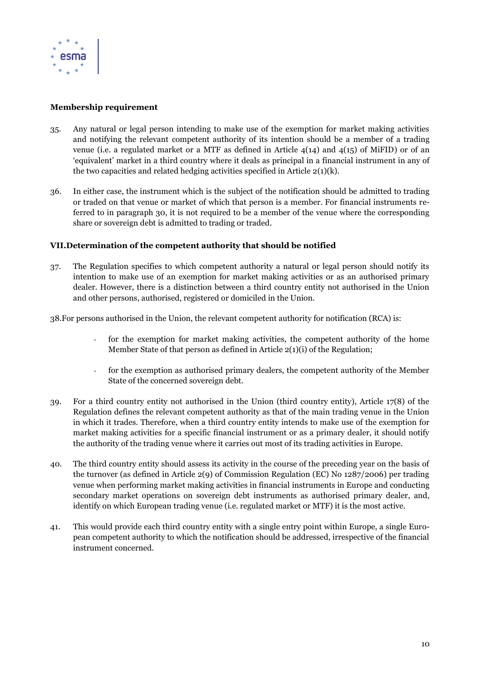

# **Membership requirement**

- 35. Any natural or legal person intending to make use of the exemption for market making activities and notifying the relevant competent authority of its intention should be a member of a trading venue (i.e. a regulated market or a MTF as defined in Article 4(14) and 4(15) of MiFID) or of an 'equivalent' market in a third country where it deals as principal in a financial instrument in any of the two capacities and related hedging activities specified in Article  $2(1)(k)$ .
- 36. In either case, the instrument which is the subject of the notification should be admitted to trading or traded on that venue or market of which that person is a member. For financial instruments referred to in paragraph 30, it is not required to be a member of the venue where the corresponding share or sovereign debt is admitted to trading or traded.

# **VII.Determination of the competent authority that should be notified**

- 37. The Regulation specifies to which competent authority a natural or legal person should notify its intention to make use of an exemption for market making activities or as an authorised primary dealer. However, there is a distinction between a third country entity not authorised in the Union and other persons, authorised, registered or domiciled in the Union.
- 38.For persons authorised in the Union, the relevant competent authority for notification (RCA) is:
	- for the exemption for market making activities, the competent authority of the home Member State of that person as defined in Article 2(1)(i) of the Regulation;
	- for the exemption as authorised primary dealers, the competent authority of the Member State of the concerned sovereign debt.
- 39. For a third country entity not authorised in the Union (third country entity), Article 17(8) of the Regulation defines the relevant competent authority as that of the main trading venue in the Union in which it trades. Therefore, when a third country entity intends to make use of the exemption for market making activities for a specific financial instrument or as a primary dealer, it should notify the authority of the trading venue where it carries out most of its trading activities in Europe.
- 40. The third country entity should assess its activity in the course of the preceding year on the basis of the turnover (as defined in Article 2(9) of Commission Regulation (EC) No 1287/2006) per trading venue when performing market making activities in financial instruments in Europe and conducting secondary market operations on sovereign debt instruments as authorised primary dealer, and, identify on which European trading venue (i.e. regulated market or MTF) it is the most active.
- 41. This would provide each third country entity with a single entry point within Europe, a single European competent authority to which the notification should be addressed, irrespective of the financial instrument concerned.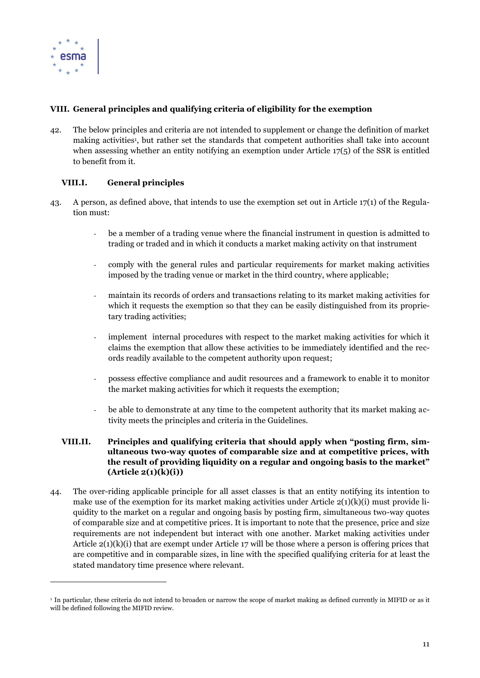

 $\overline{a}$ 

# **VIII. General principles and qualifying criteria of eligibility for the exemption**

42. The below principles and criteria are not intended to supplement or change the definition of market making activities<sup>1</sup>, but rather set the standards that competent authorities shall take into account when assessing whether an entity notifying an exemption under Article  $17(5)$  of the SSR is entitled to benefit from it.

# **VIII.I. General principles**

- <span id="page-10-0"></span>43. A person, as defined above, that intends to use the exemption set out in Article 17(1) of the Regulation must:
	- be a member of a trading venue where the financial instrument in question is admitted to trading or traded and in which it conducts a market making activity on that instrument
	- comply with the general rules and particular requirements for market making activities imposed by the trading venue or market in the third country, where applicable;
	- maintain its records of orders and transactions relating to its market making activities for which it requests the exemption so that they can be easily distinguished from its proprietary trading activities;
	- implement internal procedures with respect to the market making activities for which it claims the exemption that allow these activities to be immediately identified and the records readily available to the competent authority upon request;
	- possess effective compliance and audit resources and a framework to enable it to monitor the market making activities for which it requests the exemption;
	- be able to demonstrate at any time to the competent authority that its market making activity meets the principles and criteria in the Guidelines.

#### **VIII.II. Principles and qualifying criteria that should apply when "posting firm, simultaneous two-way quotes of comparable size and at competitive prices, with the result of providing liquidity on a regular and ongoing basis to the market" (Article 2(1)(k)(i))**

44. The over-riding applicable principle for all asset classes is that an entity notifying its intention to make use of the exemption for its market making activities under Article 2(1)(k)(i) must provide liquidity to the market on a regular and ongoing basis by posting firm, simultaneous two-way quotes of comparable size and at competitive prices. It is important to note that the presence, price and size requirements are not independent but interact with one another. Market making activities under Article  $2(1)(k)(i)$  that are exempt under Article 17 will be those where a person is offering prices that are competitive and in comparable sizes, in line with the specified qualifying criteria for at least the stated mandatory time presence where relevant.

<sup>&</sup>lt;sup>1</sup> In particular, these criteria do not intend to broaden or narrow the scope of market making as defined currently in MIFID or as it will be defined following the MIFID review.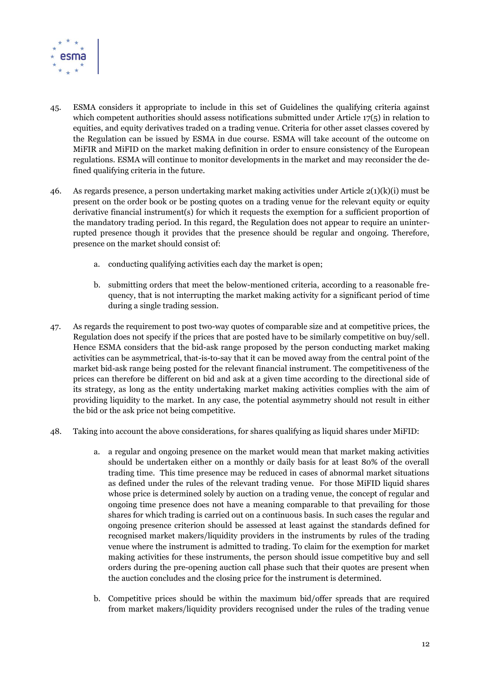

- 45. ESMA considers it appropriate to include in this set of Guidelines the qualifying criteria against which competent authorities should assess notifications submitted under Article 17(5) in relation to equities, and equity derivatives traded on a trading venue. Criteria for other asset classes covered by the Regulation can be issued by ESMA in due course. ESMA will take account of the outcome on MiFIR and MiFID on the market making definition in order to ensure consistency of the European regulations. ESMA will continue to monitor developments in the market and may reconsider the defined qualifying criteria in the future.
- 46. As regards presence, a person undertaking market making activities under Article 2(1)(k)(i) must be present on the order book or be posting quotes on a trading venue for the relevant equity or equity derivative financial instrument(s) for which it requests the exemption for a sufficient proportion of the mandatory trading period. In this regard, the Regulation does not appear to require an uninterrupted presence though it provides that the presence should be regular and ongoing. Therefore, presence on the market should consist of:
	- a. conducting qualifying activities each day the market is open;
	- b. submitting orders that meet the below-mentioned criteria, according to a reasonable frequency, that is not interrupting the market making activity for a significant period of time during a single trading session.
- 47. As regards the requirement to post two-way quotes of comparable size and at competitive prices, the Regulation does not specify if the prices that are posted have to be similarly competitive on buy/sell. Hence ESMA considers that the bid-ask range proposed by the person conducting market making activities can be asymmetrical, that-is-to-say that it can be moved away from the central point of the market bid-ask range being posted for the relevant financial instrument. The competitiveness of the prices can therefore be different on bid and ask at a given time according to the directional side of its strategy, as long as the entity undertaking market making activities complies with the aim of providing liquidity to the market. In any case, the potential asymmetry should not result in either the bid or the ask price not being competitive.
- 48. Taking into account the above considerations, for shares qualifying as liquid shares under MiFID:
	- a. a regular and ongoing presence on the market would mean that market making activities should be undertaken either on a monthly or daily basis for at least 80% of the overall trading time. This time presence may be reduced in cases of abnormal market situations as defined under the rules of the relevant trading venue. For those MiFID liquid shares whose price is determined solely by auction on a trading venue, the concept of regular and ongoing time presence does not have a meaning comparable to that prevailing for those shares for which trading is carried out on a continuous basis. In such cases the regular and ongoing presence criterion should be assessed at least against the standards defined for recognised market makers/liquidity providers in the instruments by rules of the trading venue where the instrument is admitted to trading. To claim for the exemption for market making activities for these instruments, the person should issue competitive buy and sell orders during the pre-opening auction call phase such that their quotes are present when the auction concludes and the closing price for the instrument is determined.
	- b. Competitive prices should be within the maximum bid/offer spreads that are required from market makers/liquidity providers recognised under the rules of the trading venue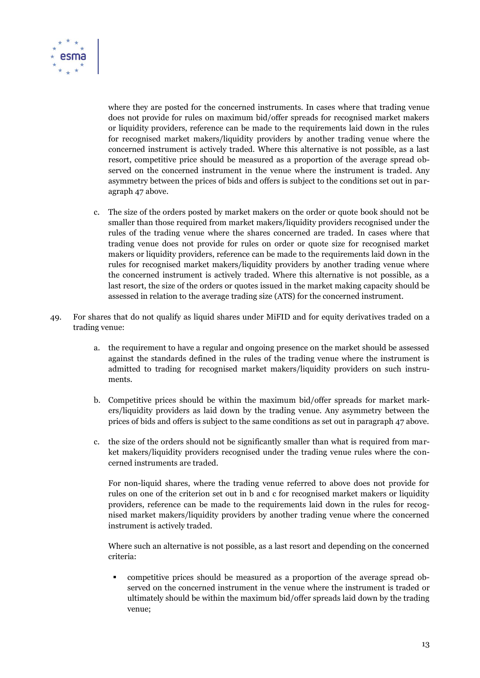

where they are posted for the concerned instruments. In cases where that trading venue does not provide for rules on maximum bid/offer spreads for recognised market makers or liquidity providers, reference can be made to the requirements laid down in the rules for recognised market makers/liquidity providers by another trading venue where the concerned instrument is actively traded. Where this alternative is not possible, as a last resort, competitive price should be measured as a proportion of the average spread observed on the concerned instrument in the venue where the instrument is traded. Any asymmetry between the prices of bids and offers is subject to the conditions set out in paragraph 47 above.

- c. The size of the orders posted by market makers on the order or quote book should not be smaller than those required from market makers/liquidity providers recognised under the rules of the trading venue where the shares concerned are traded. In cases where that trading venue does not provide for rules on order or quote size for recognised market makers or liquidity providers, reference can be made to the requirements laid down in the rules for recognised market makers/liquidity providers by another trading venue where the concerned instrument is actively traded. Where this alternative is not possible, as a last resort, the size of the orders or quotes issued in the market making capacity should be assessed in relation to the average trading size (ATS) for the concerned instrument.
- 49. For shares that do not qualify as liquid shares under MiFID and for equity derivatives traded on a trading venue:
	- a. the requirement to have a regular and ongoing presence on the market should be assessed against the standards defined in the rules of the trading venue where the instrument is admitted to trading for recognised market makers/liquidity providers on such instruments.
	- b. Competitive prices should be within the maximum bid/offer spreads for market markers/liquidity providers as laid down by the trading venue. Any asymmetry between the prices of bids and offers is subject to the same conditions as set out in paragraph 47 above.
	- c. the size of the orders should not be significantly smaller than what is required from market makers/liquidity providers recognised under the trading venue rules where the concerned instruments are traded.

For non-liquid shares, where the trading venue referred to above does not provide for rules on one of the criterion set out in b and c for recognised market makers or liquidity providers, reference can be made to the requirements laid down in the rules for recognised market makers/liquidity providers by another trading venue where the concerned instrument is actively traded.

Where such an alternative is not possible, as a last resort and depending on the concerned criteria:

 competitive prices should be measured as a proportion of the average spread observed on the concerned instrument in the venue where the instrument is traded or ultimately should be within the maximum bid/offer spreads laid down by the trading venue;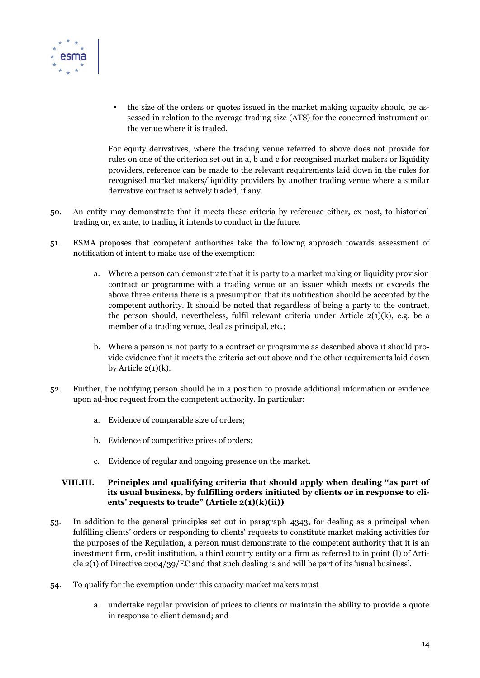

 the size of the orders or quotes issued in the market making capacity should be assessed in relation to the average trading size (ATS) for the concerned instrument on the venue where it is traded.

For equity derivatives, where the trading venue referred to above does not provide for rules on one of the criterion set out in a, b and c for recognised market makers or liquidity providers, reference can be made to the relevant requirements laid down in the rules for recognised market makers/liquidity providers by another trading venue where a similar derivative contract is actively traded, if any.

- 50. An entity may demonstrate that it meets these criteria by reference either, ex post, to historical trading or, ex ante, to trading it intends to conduct in the future.
- 51. ESMA proposes that competent authorities take the following approach towards assessment of notification of intent to make use of the exemption:
	- a. Where a person can demonstrate that it is party to a market making or liquidity provision contract or programme with a trading venue or an issuer which meets or exceeds the above three criteria there is a presumption that its notification should be accepted by the competent authority. It should be noted that regardless of being a party to the contract, the person should, nevertheless, fulfil relevant criteria under Article 2(1)(k), e.g. be a member of a trading venue, deal as principal, etc.;
	- b. Where a person is not party to a contract or programme as described above it should provide evidence that it meets the criteria set out above and the other requirements laid down by Article  $2(1)(k)$ .
- 52. Further, the notifying person should be in a position to provide additional information or evidence upon ad-hoc request from the competent authority. In particular:
	- a. Evidence of comparable size of orders;
	- b. Evidence of competitive prices of orders;
	- c. Evidence of regular and ongoing presence on the market.

# **VIII.III. Principles and qualifying criteria that should apply when dealing "as part of its usual business, by fulfilling orders initiated by clients or in response to clients' requests to trade" (Article 2(1)(k)(ii))**

- 53. In addition to the general principles set out in paragraph [4343,](#page-10-0) for dealing as a principal when fulfilling clients' orders or responding to clients' requests to constitute market making activities for the purposes of the Regulation, a person must demonstrate to the competent authority that it is an investment firm, credit institution, a third country entity or a firm as referred to in point (l) of Article 2(1) of Directive 2004/39/EC and that such dealing is and will be part of its 'usual business'.
- 54. To qualify for the exemption under this capacity market makers must
	- a. undertake regular provision of prices to clients or maintain the ability to provide a quote in response to client demand; and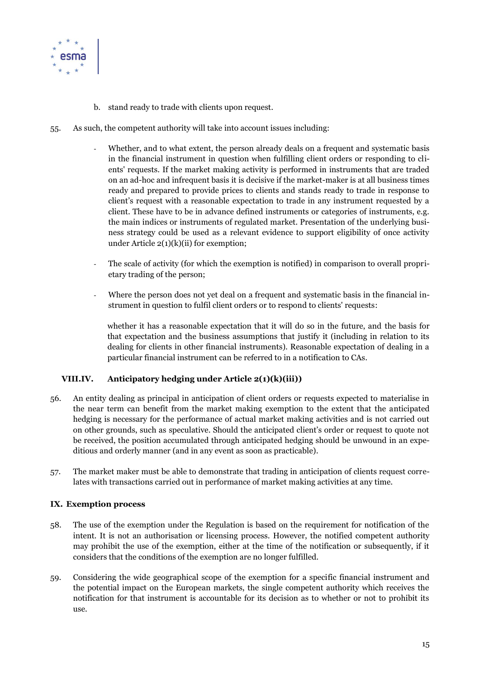

- b. stand ready to trade with clients upon request.
- 55. As such, the competent authority will take into account issues including:
	- Whether, and to what extent, the person already deals on a frequent and systematic basis in the financial instrument in question when fulfilling client orders or responding to clients' requests. If the market making activity is performed in instruments that are traded on an ad-hoc and infrequent basis it is decisive if the market-maker is at all business times ready and prepared to provide prices to clients and stands ready to trade in response to client's request with a reasonable expectation to trade in any instrument requested by a client. These have to be in advance defined instruments or categories of instruments, e.g. the main indices or instruments of regulated market. Presentation of the underlying business strategy could be used as a relevant evidence to support eligibility of once activity under Article 2(1)(k)(ii) for exemption;
	- The scale of activity (for which the exemption is notified) in comparison to overall proprietary trading of the person;
	- Where the person does not yet deal on a frequent and systematic basis in the financial instrument in question to fulfil client orders or to respond to clients' requests:

whether it has a reasonable expectation that it will do so in the future, and the basis for that expectation and the business assumptions that justify it (including in relation to its dealing for clients in other financial instruments). Reasonable expectation of dealing in a particular financial instrument can be referred to in a notification to CAs.

# **VIII.IV. Anticipatory hedging under Article 2(1)(k)(iii))**

- 56. An entity dealing as principal in anticipation of client orders or requests expected to materialise in the near term can benefit from the market making exemption to the extent that the anticipated hedging is necessary for the performance of actual market making activities and is not carried out on other grounds, such as speculative. Should the anticipated client's order or request to quote not be received, the position accumulated through anticipated hedging should be unwound in an expeditious and orderly manner (and in any event as soon as practicable).
- 57. The market maker must be able to demonstrate that trading in anticipation of clients request correlates with transactions carried out in performance of market making activities at any time.

#### **IX. Exemption process**

- 58. The use of the exemption under the Regulation is based on the requirement for notification of the intent. It is not an authorisation or licensing process. However, the notified competent authority may prohibit the use of the exemption, either at the time of the notification or subsequently, if it considers that the conditions of the exemption are no longer fulfilled.
- 59. Considering the wide geographical scope of the exemption for a specific financial instrument and the potential impact on the European markets, the single competent authority which receives the notification for that instrument is accountable for its decision as to whether or not to prohibit its use.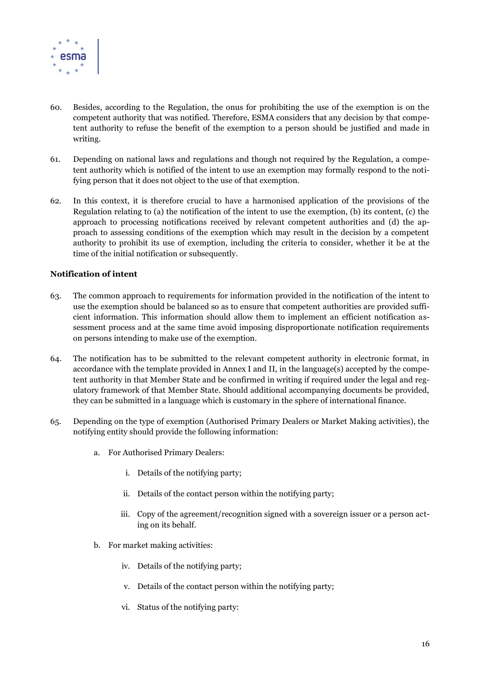

- 60. Besides, according to the Regulation, the onus for prohibiting the use of the exemption is on the competent authority that was notified. Therefore, ESMA considers that any decision by that competent authority to refuse the benefit of the exemption to a person should be justified and made in writing.
- 61. Depending on national laws and regulations and though not required by the Regulation, a competent authority which is notified of the intent to use an exemption may formally respond to the notifying person that it does not object to the use of that exemption.
- 62. In this context, it is therefore crucial to have a harmonised application of the provisions of the Regulation relating to (a) the notification of the intent to use the exemption, (b) its content, (c) the approach to processing notifications received by relevant competent authorities and (d) the approach to assessing conditions of the exemption which may result in the decision by a competent authority to prohibit its use of exemption, including the criteria to consider, whether it be at the time of the initial notification or subsequently.

# **Notification of intent**

- 63. The common approach to requirements for information provided in the notification of the intent to use the exemption should be balanced so as to ensure that competent authorities are provided sufficient information. This information should allow them to implement an efficient notification assessment process and at the same time avoid imposing disproportionate notification requirements on persons intending to make use of the exemption.
- 64. The notification has to be submitted to the relevant competent authority in electronic format, in accordance with the template provided in Annex I and II, in the language(s) accepted by the competent authority in that Member State and be confirmed in writing if required under the legal and regulatory framework of that Member State. Should additional accompanying documents be provided, they can be submitted in a language which is customary in the sphere of international finance.
- <span id="page-15-0"></span>65. Depending on the type of exemption (Authorised Primary Dealers or Market Making activities), the notifying entity should provide the following information:
	- a. For Authorised Primary Dealers:
		- i. Details of the notifying party;
		- ii. Details of the contact person within the notifying party;
		- iii. Copy of the agreement/recognition signed with a sovereign issuer or a person acting on its behalf.
	- b. For market making activities:
		- iv. Details of the notifying party;
		- v. Details of the contact person within the notifying party;
		- vi. Status of the notifying party: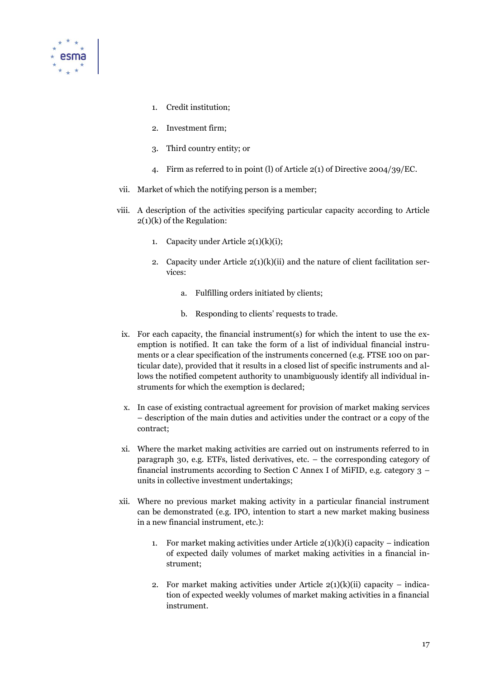

- 1. Credit institution;
- 2. Investment firm;
- 3. Third country entity; or
- 4. Firm as referred to in point (l) of Article 2(1) of Directive 2004/39/EC.
- vii. Market of which the notifying person is a member;
- viii. A description of the activities specifying particular capacity according to Article 2(1)(k) of the Regulation:
	- 1. Capacity under Article  $2(1)(k)(i)$ ;
	- 2. Capacity under Article 2(1)(k)(ii) and the nature of client facilitation services:
		- a. Fulfilling orders initiated by clients;
		- b. Responding to clients' requests to trade.
- ix. For each capacity, the financial instrument(s) for which the intent to use the exemption is notified. It can take the form of a list of individual financial instruments or a clear specification of the instruments concerned (e.g. FTSE 100 on particular date), provided that it results in a closed list of specific instruments and allows the notified competent authority to unambiguously identify all individual instruments for which the exemption is declared;
- x. In case of existing contractual agreement for provision of market making services – description of the main duties and activities under the contract or a copy of the contract;
- xi. Where the market making activities are carried out on instruments referred to in paragraph 30, e.g. ETFs, listed derivatives, etc. – the corresponding category of financial instruments according to Section C Annex I of MiFID, e.g. category 3 – units in collective investment undertakings;
- xii. Where no previous market making activity in a particular financial instrument can be demonstrated (e.g. IPO, intention to start a new market making business in a new financial instrument, etc.):
	- 1. For market making activities under Article  $2(1)(k)(i)$  capacity indication of expected daily volumes of market making activities in a financial instrument;
	- 2. For market making activities under Article  $2(1)(k)(ii)$  capacity indication of expected weekly volumes of market making activities in a financial instrument.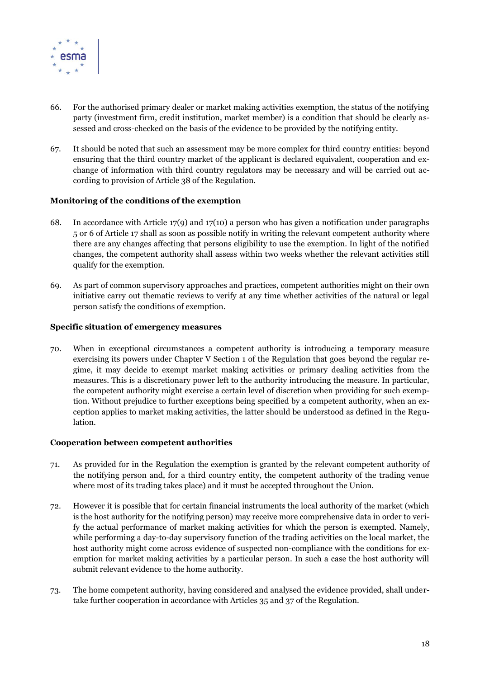

- 66. For the authorised primary dealer or market making activities exemption, the status of the notifying party (investment firm, credit institution, market member) is a condition that should be clearly assessed and cross-checked on the basis of the evidence to be provided by the notifying entity.
- 67. It should be noted that such an assessment may be more complex for third country entities: beyond ensuring that the third country market of the applicant is declared equivalent, cooperation and exchange of information with third country regulators may be necessary and will be carried out according to provision of Article 38 of the Regulation.

#### **Monitoring of the conditions of the exemption**

- 68. In accordance with Article 17(9) and 17(10) a person who has given a notification under paragraphs 5 or 6 of Article 17 shall as soon as possible notify in writing the relevant competent authority where there are any changes affecting that persons eligibility to use the exemption. In light of the notified changes, the competent authority shall assess within two weeks whether the relevant activities still qualify for the exemption.
- 69. As part of common supervisory approaches and practices, competent authorities might on their own initiative carry out thematic reviews to verify at any time whether activities of the natural or legal person satisfy the conditions of exemption.

#### **Specific situation of emergency measures**

70. When in exceptional circumstances a competent authority is introducing a temporary measure exercising its powers under Chapter V Section 1 of the Regulation that goes beyond the regular regime, it may decide to exempt market making activities or primary dealing activities from the measures. This is a discretionary power left to the authority introducing the measure. In particular, the competent authority might exercise a certain level of discretion when providing for such exemption. Without prejudice to further exceptions being specified by a competent authority, when an exception applies to market making activities, the latter should be understood as defined in the Regulation.

#### **Cooperation between competent authorities**

- 71. As provided for in the Regulation the exemption is granted by the relevant competent authority of the notifying person and, for a third country entity, the competent authority of the trading venue where most of its trading takes place) and it must be accepted throughout the Union.
- 72. However it is possible that for certain financial instruments the local authority of the market (which is the host authority for the notifying person) may receive more comprehensive data in order to verify the actual performance of market making activities for which the person is exempted. Namely, while performing a day-to-day supervisory function of the trading activities on the local market, the host authority might come across evidence of suspected non-compliance with the conditions for exemption for market making activities by a particular person. In such a case the host authority will submit relevant evidence to the home authority.
- 73. The home competent authority, having considered and analysed the evidence provided, shall undertake further cooperation in accordance with Articles 35 and 37 of the Regulation.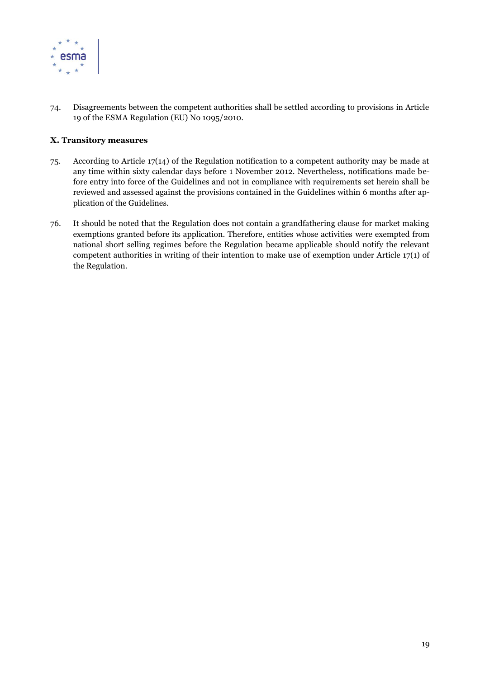

74. Disagreements between the competent authorities shall be settled according to provisions in Article 19 of the ESMA Regulation (EU) No 1095/2010.

# **X. Transitory measures**

- 75. According to Article 17(14) of the Regulation notification to a competent authority may be made at any time within sixty calendar days before 1 November 2012. Nevertheless, notifications made before entry into force of the Guidelines and not in compliance with requirements set herein shall be reviewed and assessed against the provisions contained in the Guidelines within 6 months after application of the Guidelines.
- 76. It should be noted that the Regulation does not contain a grandfathering clause for market making exemptions granted before its application. Therefore, entities whose activities were exempted from national short selling regimes before the Regulation became applicable should notify the relevant competent authorities in writing of their intention to make use of exemption under Article 17(1) of the Regulation.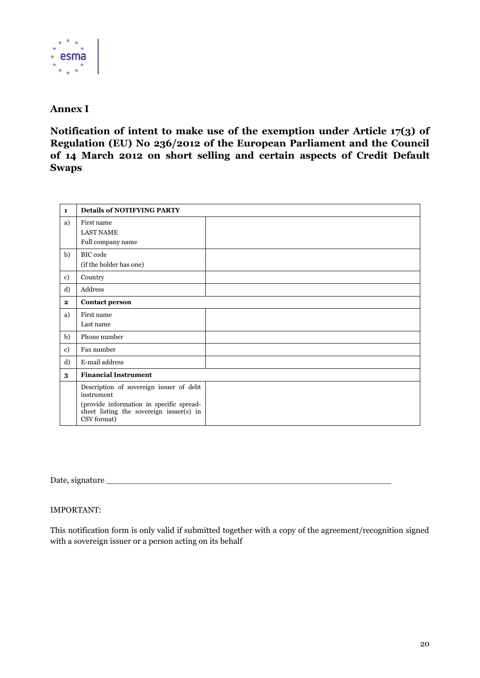

# **Annex I**

**Notification of intent to make use of the exemption under Article 17(3) of Regulation (EU) No 236/2012 of the European Parliament and the Council of 14 March 2012 on short selling and certain aspects of Credit Default Swaps**

| $\mathbf{1}$ | <b>Details of NOTIFYING PARTY</b>                                                                                                                            |  |
|--------------|--------------------------------------------------------------------------------------------------------------------------------------------------------------|--|
| a)           | First name<br><b>LAST NAME</b><br>Full company name                                                                                                          |  |
| b)           | <b>BIC</b> code<br>(if the holder has one)                                                                                                                   |  |
| c)           | Country                                                                                                                                                      |  |
| d)           | Address                                                                                                                                                      |  |
| $\mathbf{2}$ | <b>Contact person</b>                                                                                                                                        |  |
| a)           | First name<br>Last name                                                                                                                                      |  |
| b)           | Phone number                                                                                                                                                 |  |
| $\mathbf{c}$ | Fax number                                                                                                                                                   |  |
| d)           | E-mail address                                                                                                                                               |  |
| 3            | <b>Financial Instrument</b>                                                                                                                                  |  |
|              | Description of sovereign issuer of debt<br>instrument<br>(provide information in specific spread-<br>sheet listing the sovereign issuer(s) in<br>CSV format) |  |

Date, signature

# IMPORTANT:

This notification form is only valid if submitted together with a copy of the agreement/recognition signed with a sovereign issuer or a person acting on its behalf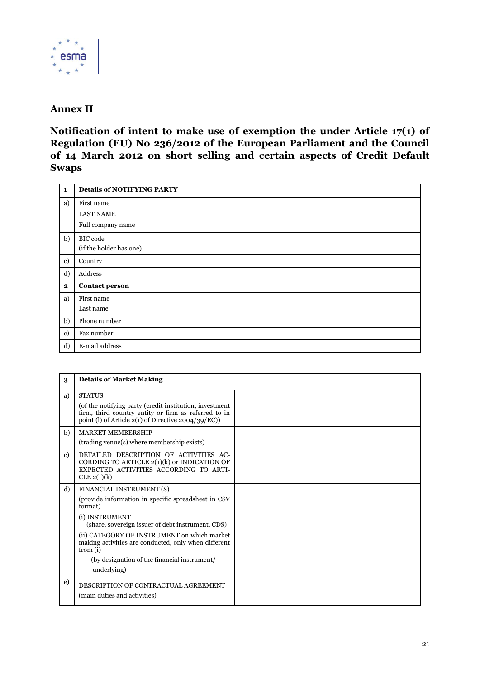

# **Annex II**

**Notification of intent to make use of exemption the under Article 17(1) of Regulation (EU) No 236/2012 of the European Parliament and the Council of 14 March 2012 on short selling and certain aspects of Credit Default Swaps**

| $\mathbf{1}$ | <b>Details of NOTIFYING PARTY</b> |  |
|--------------|-----------------------------------|--|
| a)           | First name                        |  |
|              | <b>LAST NAME</b>                  |  |
|              | Full company name                 |  |
| b)           | BIC code                          |  |
|              | (if the holder has one)           |  |
| c)           | Country                           |  |
| d)           | Address                           |  |
| $\bf{2}$     | <b>Contact person</b>             |  |
| a)           | First name                        |  |
|              | Last name                         |  |
| b)           | Phone number                      |  |
| $\mathbf{c}$ | Fax number                        |  |
| d)           | E-mail address                    |  |

| 3            | <b>Details of Market Making</b>                                                                                                                                                              |  |
|--------------|----------------------------------------------------------------------------------------------------------------------------------------------------------------------------------------------|--|
| a)           | <b>STATUS</b><br>(of the notifying party (credit institution, investment)<br>firm, third country entity or firm as referred to in<br>point (l) of Article $2(1)$ of Directive $2004/39/EC$ ) |  |
| b)           | <b>MARKET MEMBERSHIP</b><br>(trading venue(s) where membership exists)                                                                                                                       |  |
| $\mathbf{c}$ | DETAILED DESCRIPTION OF ACTIVITIES AC-<br>CORDING TO ARTICLE 2(1)(k) or INDICATION OF<br>EXPECTED ACTIVITIES ACCORDING TO ARTI-<br>CLE 2(1)(k)                                               |  |
| d)           | FINANCIAL INSTRUMENT (S)<br>(provide information in specific spreadsheet in CSV)<br>format)                                                                                                  |  |
|              | (i) INSTRUMENT<br>(share, sovereign issuer of debt instrument, CDS)                                                                                                                          |  |
|              | (ii) CATEGORY OF INSTRUMENT on which market<br>making activities are conducted, only when different<br>from $(i)$<br>(by designation of the financial instrument/<br>underlying)             |  |
| e)           | DESCRIPTION OF CONTRACTUAL AGREEMENT<br>(main duties and activities)                                                                                                                         |  |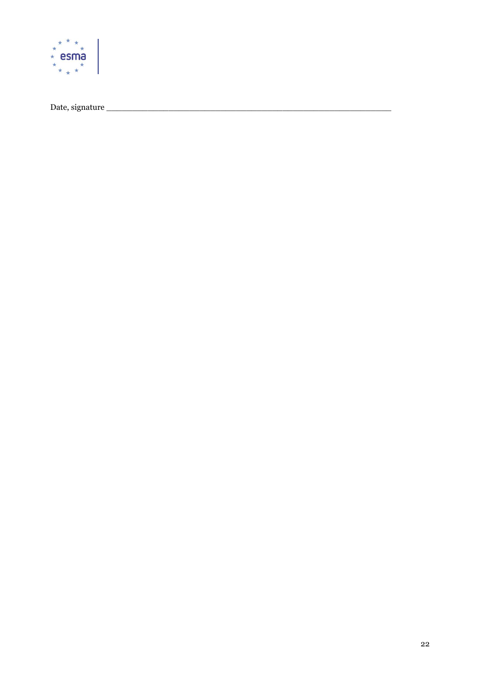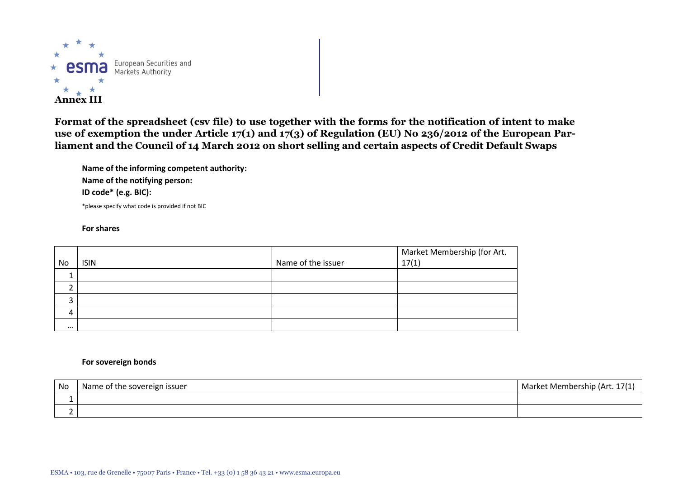

**Format of the spreadsheet (csv file) to use together with the forms for the notification of intent to make use of exemption the under Article 17(1) and 17(3) of Regulation (EU) No 236/2012 of the European Parliament and the Council of 14 March 2012 on short selling and certain aspects of Credit Default Swaps**

**Name of the informing competent authority: Name of the notifying person: ID code\* (e.g. BIC):** \*please specify what code is provided if not BIC

#### **For shares**

| No       | <b>ISIN</b> | Name of the issuer | Market Membership (for Art.<br>17(1) |
|----------|-------------|--------------------|--------------------------------------|
|          |             |                    |                                      |
|          |             |                    |                                      |
|          |             |                    |                                      |
| 4        |             |                    |                                      |
| $\cdots$ |             |                    |                                      |

#### **For sovereign bonds**

| No | Name of the sovereign issuer | Market Membership (Art. 17 |
|----|------------------------------|----------------------------|
|    |                              |                            |
|    |                              |                            |